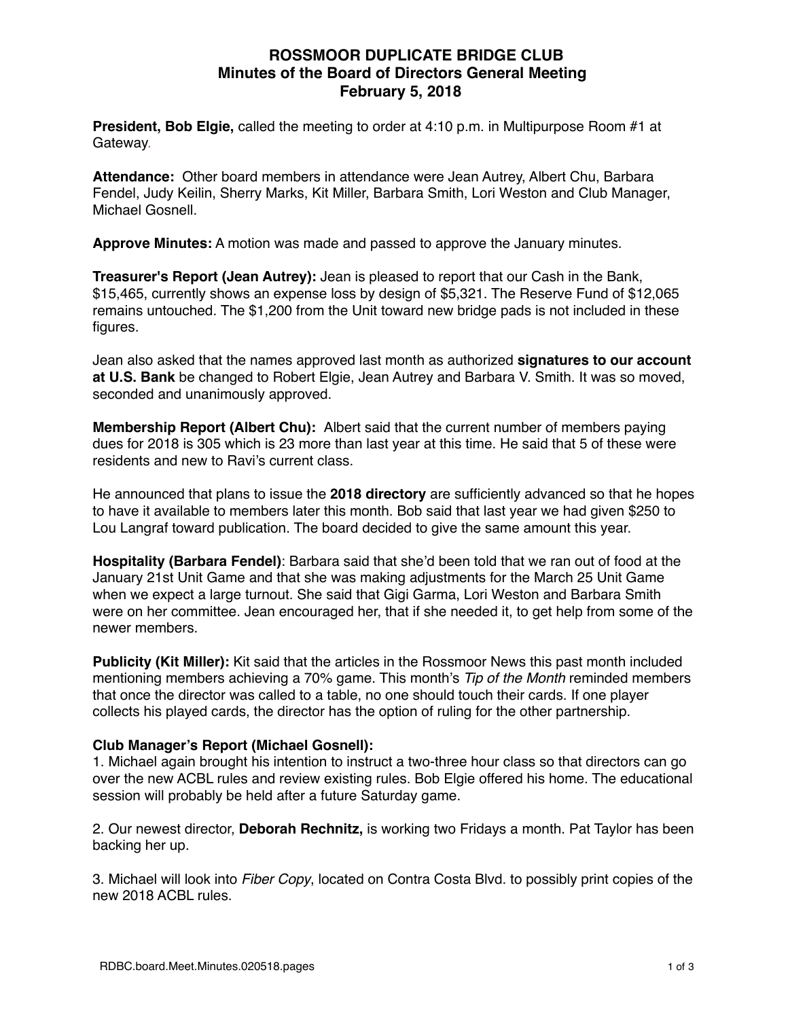## **ROSSMOOR DUPLICATE BRIDGE CLUB Minutes of the Board of Directors General Meeting February 5, 2018**

**President, Bob Elgie,** called the meeting to order at 4:10 p.m. in Multipurpose Room #1 at Gateway.

**Attendance:** Other board members in attendance were Jean Autrey, Albert Chu, Barbara Fendel, Judy Keilin, Sherry Marks, Kit Miller, Barbara Smith, Lori Weston and Club Manager, Michael Gosnell.

**Approve Minutes:** A motion was made and passed to approve the January minutes.

**Treasurer's Report (Jean Autrey):** Jean is pleased to report that our Cash in the Bank, \$15,465, currently shows an expense loss by design of \$5,321. The Reserve Fund of \$12,065 remains untouched. The \$1,200 from the Unit toward new bridge pads is not included in these figures.

Jean also asked that the names approved last month as authorized **signatures to our account at U.S. Bank** be changed to Robert Elgie, Jean Autrey and Barbara V. Smith. It was so moved, seconded and unanimously approved.

**Membership Report (Albert Chu):** Albert said that the current number of members paying dues for 2018 is 305 which is 23 more than last year at this time. He said that 5 of these were residents and new to Ravi's current class.

He announced that plans to issue the **2018 directory** are sufficiently advanced so that he hopes to have it available to members later this month. Bob said that last year we had given \$250 to Lou Langraf toward publication. The board decided to give the same amount this year.

**Hospitality (Barbara Fendel)**: Barbara said that she'd been told that we ran out of food at the January 21st Unit Game and that she was making adjustments for the March 25 Unit Game when we expect a large turnout. She said that Gigi Garma, Lori Weston and Barbara Smith were on her committee. Jean encouraged her, that if she needed it, to get help from some of the newer members.

**Publicity (Kit Miller):** Kit said that the articles in the Rossmoor News this past month included mentioning members achieving a 70% game. This month's *Tip of the Month* reminded members that once the director was called to a table, no one should touch their cards. If one player collects his played cards, the director has the option of ruling for the other partnership.

### **Club Manager's Report (Michael Gosnell):**

1. Michael again brought his intention to instruct a two-three hour class so that directors can go over the new ACBL rules and review existing rules. Bob Elgie offered his home. The educational session will probably be held after a future Saturday game.

2. Our newest director, **Deborah Rechnitz,** is working two Fridays a month. Pat Taylor has been backing her up.

3. Michael will look into *Fiber Copy*, located on Contra Costa Blvd. to possibly print copies of the new 2018 ACBL rules.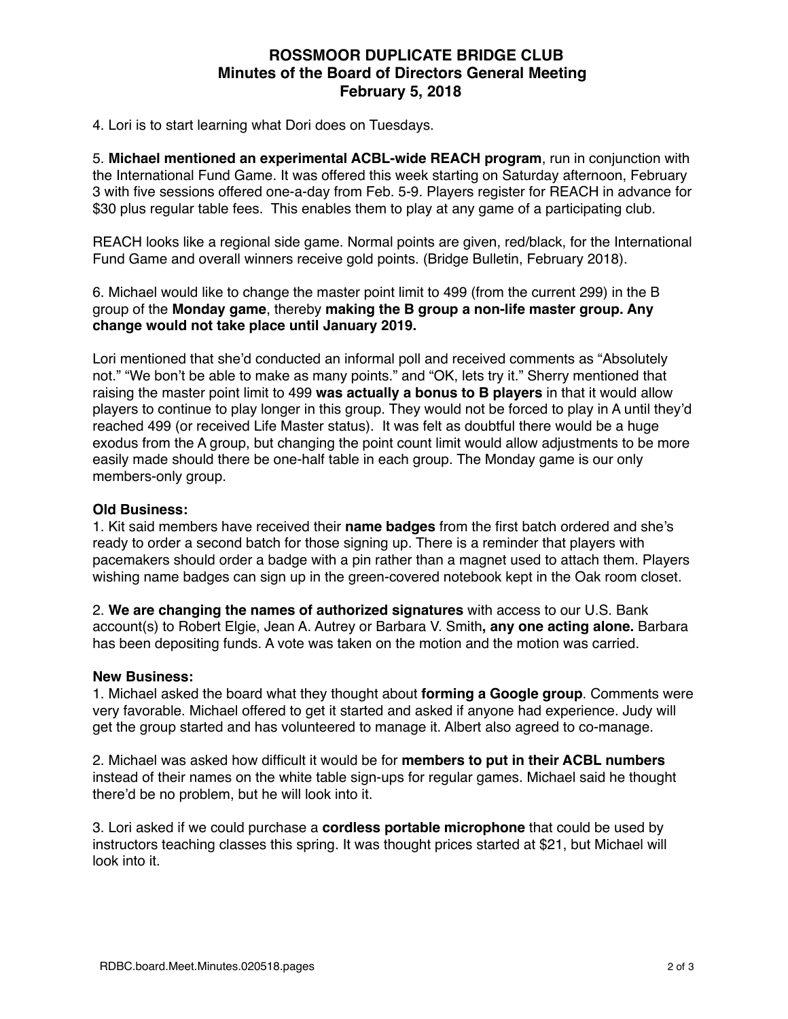## **ROSSMOOR DUPLICATE BRIDGE CLUB Minutes of the Board of Directors General Meeting February 5, 2018**

4. Lori is to start learning what Dori does on Tuesdays.

5. **Michael mentioned an experimental ACBL-wide REACH program**, run in conjunction with the International Fund Game. It was offered this week starting on Saturday afternoon, February 3 with five sessions offered one-a-day from Feb. 5-9. Players register for REACH in advance for \$30 plus regular table fees. This enables them to play at any game of a participating club.

REACH looks like a regional side game. Normal points are given, red/black, for the International Fund Game and overall winners receive gold points. (Bridge Bulletin, February 2018).

6. Michael would like to change the master point limit to 499 (from the current 299) in the B group of the **Monday game**, thereby **making the B group a non-life master group. Any change would not take place until January 2019.** 

Lori mentioned that she'd conducted an informal poll and received comments as "Absolutely not." "We bon't be able to make as many points." and "OK, lets try it." Sherry mentioned that raising the master point limit to 499 **was actually a bonus to B players** in that it would allow players to continue to play longer in this group. They would not be forced to play in A until they'd reached 499 (or received Life Master status). It was felt as doubtful there would be a huge exodus from the A group, but changing the point count limit would allow adjustments to be more easily made should there be one-half table in each group. The Monday game is our only members-only group.

#### **Old Business:**

1. Kit said members have received their **name badges** from the first batch ordered and she's ready to order a second batch for those signing up. There is a reminder that players with pacemakers should order a badge with a pin rather than a magnet used to attach them. Players wishing name badges can sign up in the green-covered notebook kept in the Oak room closet.

2. **We are changing the names of authorized signatures** with access to our U.S. Bank account(s) to Robert Elgie, Jean A. Autrey or Barbara V. Smith**, any one acting alone.** Barbara has been depositing funds. A vote was taken on the motion and the motion was carried.

#### **New Business:**

1. Michael asked the board what they thought about **forming a Google group**. Comments were very favorable. Michael offered to get it started and asked if anyone had experience. Judy will get the group started and has volunteered to manage it. Albert also agreed to co-manage.

2. Michael was asked how difficult it would be for **members to put in their ACBL numbers**  instead of their names on the white table sign-ups for regular games. Michael said he thought there'd be no problem, but he will look into it.

3. Lori asked if we could purchase a **cordless portable microphone** that could be used by instructors teaching classes this spring. It was thought prices started at \$21, but Michael will look into it.